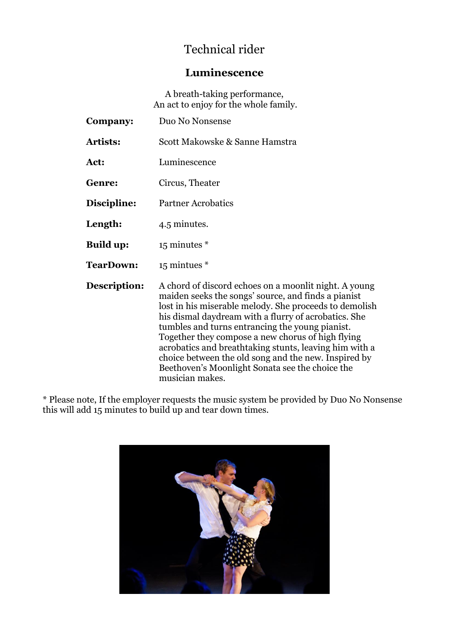# Technical rider

### **Luminescence**

A breath-taking performance, An act to enjoy for the whole family.

| Company:         | Duo No Nonsense                                                                                                                                                                                                                                                                                                                                                                                                                                                                                                                |
|------------------|--------------------------------------------------------------------------------------------------------------------------------------------------------------------------------------------------------------------------------------------------------------------------------------------------------------------------------------------------------------------------------------------------------------------------------------------------------------------------------------------------------------------------------|
| <b>Artists:</b>  | Scott Makowske & Sanne Hamstra                                                                                                                                                                                                                                                                                                                                                                                                                                                                                                 |
| Act:             | Luminescence                                                                                                                                                                                                                                                                                                                                                                                                                                                                                                                   |
| <b>Genre:</b>    | Circus, Theater                                                                                                                                                                                                                                                                                                                                                                                                                                                                                                                |
| Discipline:      | <b>Partner Acrobatics</b>                                                                                                                                                                                                                                                                                                                                                                                                                                                                                                      |
| Length:          | 4.5 minutes.                                                                                                                                                                                                                                                                                                                                                                                                                                                                                                                   |
| <b>Build up:</b> | $15$ minutes $*$                                                                                                                                                                                                                                                                                                                                                                                                                                                                                                               |
| <b>TearDown:</b> | 15 mintues *                                                                                                                                                                                                                                                                                                                                                                                                                                                                                                                   |
| Description:     | A chord of discord echoes on a moonlit night. A young<br>maiden seeks the songs' source, and finds a pianist<br>lost in his miserable melody. She proceeds to demolish<br>his dismal daydream with a flurry of acrobatics. She<br>tumbles and turns entrancing the young pianist.<br>Together they compose a new chorus of high flying<br>acrobatics and breathtaking stunts, leaving him with a<br>choice between the old song and the new. Inspired by<br>Beethoven's Moonlight Sonata see the choice the<br>musician makes. |

\* Please note, If the employer requests the music system be provided by Duo No Nonsense this will add 15 minutes to build up and tear down times.